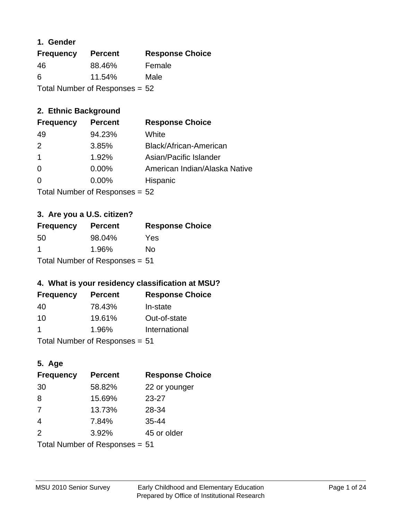#### **1. Gender**

| <b>Frequency</b>                 | <b>Percent</b> | <b>Response Choice</b> |
|----------------------------------|----------------|------------------------|
| 46                               | 88.46%         | Female                 |
| 6                                | 11.54%         | Male                   |
| Total Number of Responses = $52$ |                |                        |

# **2. Ethnic Background**

| <b>Frequency</b> | <b>Percent</b> | <b>Response Choice</b>        |
|------------------|----------------|-------------------------------|
| 49               | 94.23%         | White                         |
| $\mathcal{P}$    | 3.85%          | Black/African-American        |
|                  | 1.92%          | Asian/Pacific Islander        |
| $\Omega$         | 0.00%          | American Indian/Alaska Native |
| $\Omega$         | 0.00%          | Hispanic                      |
|                  |                |                               |

Total Number of Responses = 52

## **3. Are you a U.S. citizen?**

| <b>Frequency</b>               | <b>Percent</b> | <b>Response Choice</b> |
|--------------------------------|----------------|------------------------|
| 50                             | 98.04%         | Yes                    |
| -1                             | 1.96%          | No                     |
| Total Number of Responses = 51 |                |                        |

# **4. What is your residency classification at MSU?**

| <b>Frequency</b> | <b>Percent</b> | <b>Response Choice</b> |
|------------------|----------------|------------------------|
| 40               | 78.43%         | In-state               |
| 10               | 19.61%         | Out-of-state           |
|                  | 1.96%          | International          |
|                  |                |                        |

Total Number of Responses = 51

# **5. Age**

| <b>Frequency</b>               | <b>Percent</b> | <b>Response Choice</b> |
|--------------------------------|----------------|------------------------|
| 30                             | 58.82%         | 22 or younger          |
| 8                              | 15.69%         | $23 - 27$              |
| 7                              | 13.73%         | 28-34                  |
| 4                              | 7.84%          | $35 - 44$              |
| 2                              | 3.92%          | 45 or older            |
| Total Number of Responses = 51 |                |                        |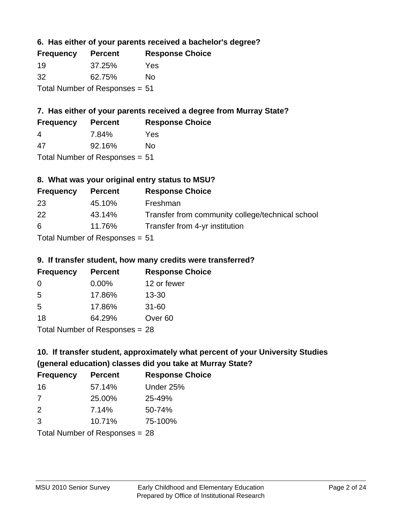#### **6. Has either of your parents received a bachelor's degree?**

| <b>Frequency</b>               | <b>Percent</b> | <b>Response Choice</b> |
|--------------------------------|----------------|------------------------|
| 19                             | 37.25%         | Yes                    |
| 32                             | 62.75%         | Nο                     |
| Total Number of Responses = 51 |                |                        |

# **7. Has either of your parents received a degree from Murray State?**

| <b>Frequency</b> | <b>Percent</b> | <b>Response Choice</b> |
|------------------|----------------|------------------------|
| 4                | 7.84%          | Yes                    |
| -47              | 92.16%         | No                     |

Total Number of Responses = 51

# **8. What was your original entry status to MSU?**

| <b>Frequency</b> | <b>Percent</b>                 | <b>Response Choice</b>                           |
|------------------|--------------------------------|--------------------------------------------------|
| 23               | 45.10%                         | Freshman                                         |
| 22               | 43.14%                         | Transfer from community college/technical school |
| 6                | 11.76%                         | Transfer from 4-yr institution                   |
|                  | Total Number of Responses = 51 |                                                  |

# **9. If transfer student, how many credits were transferred?**

| <b>Frequency</b>               | <b>Percent</b> | <b>Response Choice</b> |
|--------------------------------|----------------|------------------------|
| 0                              | $0.00\%$       | 12 or fewer            |
| 5                              | 17.86%         | 13-30                  |
| 5                              | 17.86%         | $31 - 60$              |
| 18                             | 64.29%         | Over <sub>60</sub>     |
| Total Number of Responses = 28 |                |                        |

# **10. If transfer student, approximately what percent of your University Studies (general education) classes did you take at Murray State?**

| <b>Frequency</b>               | <b>Percent</b> | <b>Response Choice</b> |
|--------------------------------|----------------|------------------------|
| 16                             | 57.14%         | Under 25%              |
| 7                              | 25.00%         | 25-49%                 |
| 2                              | 7.14%          | 50-74%                 |
| 3                              | 10.71%         | 75-100%                |
| Total Number of Responses = 28 |                |                        |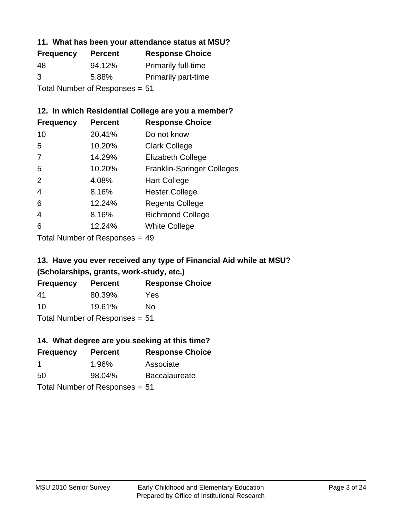#### **11. What has been your attendance status at MSU?**

| <b>Frequency</b>               | <b>Percent</b> | <b>Response Choice</b>     |
|--------------------------------|----------------|----------------------------|
| 48                             | 94.12%         | <b>Primarily full-time</b> |
| 3                              | 5.88%          | <b>Primarily part-time</b> |
| Total Number of Responses = 51 |                |                            |

## **12. In which Residential College are you a member?**

| <b>Percent</b> | <b>Response Choice</b>            |
|----------------|-----------------------------------|
| 20.41%         | Do not know                       |
| 10.20%         | <b>Clark College</b>              |
| 14.29%         | <b>Elizabeth College</b>          |
| 10.20%         | <b>Franklin-Springer Colleges</b> |
| 4.08%          | <b>Hart College</b>               |
| 8.16%          | <b>Hester College</b>             |
| 12.24%         | <b>Regents College</b>            |
| 8.16%          | <b>Richmond College</b>           |
| 12.24%         | <b>White College</b>              |
|                |                                   |

Total Number of Responses = 49

# **13. Have you ever received any type of Financial Aid while at MSU? (Scholarships, grants, work-study, etc.)**

| <b>Frequency</b>               | <b>Percent</b> | <b>Response Choice</b> |
|--------------------------------|----------------|------------------------|
| 41                             | 80.39%         | Yes                    |
| 10                             | 19.61%         | Nο                     |
| Total Number of Responses = 51 |                |                        |

**14. What degree are you seeking at this time?**

| <b>Frequency</b> | <b>Percent</b>                 | <b>Response Choice</b> |
|------------------|--------------------------------|------------------------|
| -1               | 1.96%                          | Associate              |
| 50               | 98.04%                         | <b>Baccalaureate</b>   |
|                  | Total Number of Responses = 51 |                        |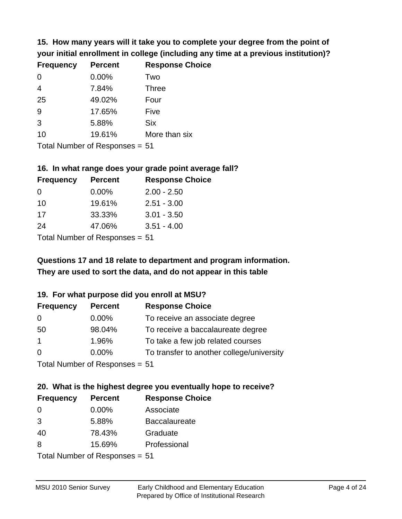**15. How many years will it take you to complete your degree from the point of your initial enrollment in college (including any time at a previous institution)?**

| <b>Frequency</b> | <b>Percent</b> | <b>Response Choice</b> |
|------------------|----------------|------------------------|
| 0                | 0.00%          | Two                    |
| $\overline{4}$   | 7.84%          | <b>Three</b>           |
| 25               | 49.02%         | Four                   |
| 9                | 17.65%         | Five                   |
| 3                | 5.88%          | <b>Six</b>             |
| 10               | 19.61%         | More than six          |
|                  |                |                        |

Total Number of Responses = 51

#### **16. In what range does your grade point average fall?**

| <b>Frequency</b> | <b>Percent</b> | <b>Response Choice</b> |
|------------------|----------------|------------------------|
| 0                | $0.00\%$       | $2.00 - 2.50$          |
| 10               | 19.61%         | $2.51 - 3.00$          |
| 17               | 33.33%         | $3.01 - 3.50$          |
| 24               | 47.06%         | $3.51 - 4.00$          |
|                  |                |                        |

Total Number of Responses = 51

# **They are used to sort the data, and do not appear in this table Questions 17 and 18 relate to department and program information.**

#### **19. For what purpose did you enroll at MSU?**

| <b>Frequency</b> | <b>Percent</b>                  | <b>Response Choice</b>                    |
|------------------|---------------------------------|-------------------------------------------|
| 0                | $0.00\%$                        | To receive an associate degree            |
| 50               | 98.04%                          | To receive a baccalaureate degree         |
| $\overline{1}$   | 1.96%                           | To take a few job related courses         |
| $\Omega$         | 0.00%                           | To transfer to another college/university |
|                  | Total Number of Reconnege $-51$ |                                           |

Total Number of Responses = 51

# **20. What is the highest degree you eventually hope to receive?**

| <b>Frequency</b>                 | <b>Percent</b> | <b>Response Choice</b> |
|----------------------------------|----------------|------------------------|
| 0                                | 0.00%          | Associate              |
| 3                                | 5.88%          | <b>Baccalaureate</b>   |
| 40                               | 78.43%         | Graduate               |
| 8                                | 15.69%         | Professional           |
| $Total Number of Doepopoog - E1$ |                |                        |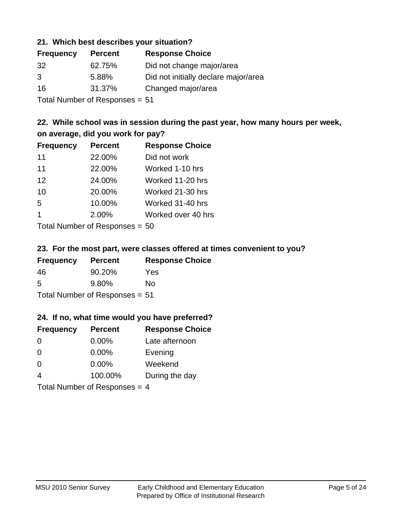#### **21. Which best describes your situation?**

| <b>Frequency</b> | <b>Percent</b> | <b>Response Choice</b>               |
|------------------|----------------|--------------------------------------|
| 32               | 62.75%         | Did not change major/area            |
| 3                | 5.88%          | Did not initially declare major/area |
| 16               | 31.37%         | Changed major/area                   |
|                  |                |                                      |

Total Number of Responses = 51

# **22. While school was in session during the past year, how many hours per week, on average, did you work for pay?**

| <b>Frequency</b> | <b>Percent</b> | <b>Response Choice</b> |
|------------------|----------------|------------------------|
| 11               | 22.00%         | Did not work           |
| 11               | 22.00%         | Worked 1-10 hrs        |
| 12               | 24.00%         | Worked 11-20 hrs       |
| 10               | 20.00%         | Worked 21-30 hrs       |
| 5                | 10.00%         | Worked 31-40 hrs       |
| -1               | 2.00%          | Worked over 40 hrs     |
|                  |                |                        |

Total Number of Responses = 50

#### **23. For the most part, were classes offered at times convenient to you?**

| <b>Frequency</b>               | <b>Percent</b> | <b>Response Choice</b> |
|--------------------------------|----------------|------------------------|
| 46                             | 90.20%         | Yes                    |
| 5                              | 9.80%          | Nο                     |
| Total Number of Responses = 51 |                |                        |

#### **24. If no, what time would you have preferred?**

| <b>Frequency</b>                | <b>Percent</b> | <b>Response Choice</b> |
|---------------------------------|----------------|------------------------|
| $\Omega$                        | $0.00\%$       | Late afternoon         |
| $\Omega$                        | 0.00%          | Evening                |
| 0                               | $0.00\%$       | Weekend                |
| $\overline{4}$                  | 100.00%        | During the day         |
| Total Number of Responses = $4$ |                |                        |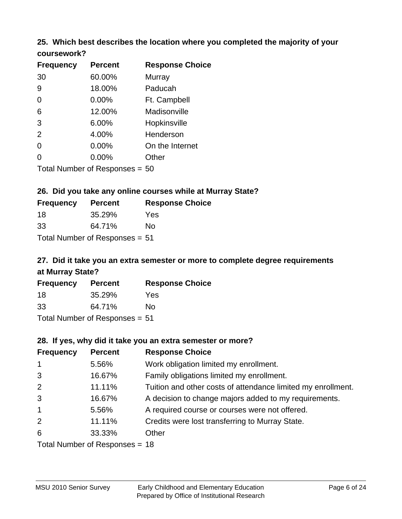# **25. Which best describes the location where you completed the majority of your**

| coursework? |  |
|-------------|--|
|-------------|--|

| <b>Frequency</b> | <b>Percent</b>                   | <b>Response Choice</b> |
|------------------|----------------------------------|------------------------|
| 30               | 60.00%                           | Murray                 |
| 9                | 18.00%                           | Paducah                |
| 0                | 0.00%                            | Ft. Campbell           |
| 6                | 12.00%                           | Madisonville           |
| 3                | 6.00%                            | Hopkinsville           |
| 2                | 4.00%                            | Henderson              |
| 0                | 0.00%                            | On the Internet        |
| 0                | 0.00%                            | Other                  |
|                  | Total Number of Responses $= 50$ |                        |

#### **26. Did you take any online courses while at Murray State?**

| <b>Frequency</b>               | <b>Percent</b> | <b>Response Choice</b> |  |  |
|--------------------------------|----------------|------------------------|--|--|
| -18                            | 35.29%         | Yes                    |  |  |
| -33                            | 64.71%         | Nο                     |  |  |
| Total Number of Responses = 51 |                |                        |  |  |

# **27. Did it take you an extra semester or more to complete degree requirements at Murray State?**

| <b>Frequency</b> | <b>Percent</b>               | <b>Response Choice</b> |
|------------------|------------------------------|------------------------|
| 18               | 35.29%                       | Yes                    |
| 33               | 64.71%                       | Nο                     |
|                  | Total Number of Deepensee 51 |                        |

Total Number of Responses = 51

#### **28. If yes, why did it take you an extra semester or more?**

| <b>Frequency</b> | <b>Percent</b>                  | <b>Response Choice</b>                                       |
|------------------|---------------------------------|--------------------------------------------------------------|
| $\mathbf{1}$     | 5.56%                           | Work obligation limited my enrollment.                       |
| 3                | 16.67%                          | Family obligations limited my enrollment.                    |
| 2                | 11.11%                          | Tuition and other costs of attendance limited my enrollment. |
| 3                | 16.67%                          | A decision to change majors added to my requirements.        |
| $\mathbf{1}$     | 5.56%                           | A required course or courses were not offered.               |
| 2                | 11.11%                          | Credits were lost transferring to Murray State.              |
| 6                | 33.33%                          | Other                                                        |
|                  | $Total Number of Denonose = 19$ |                                                              |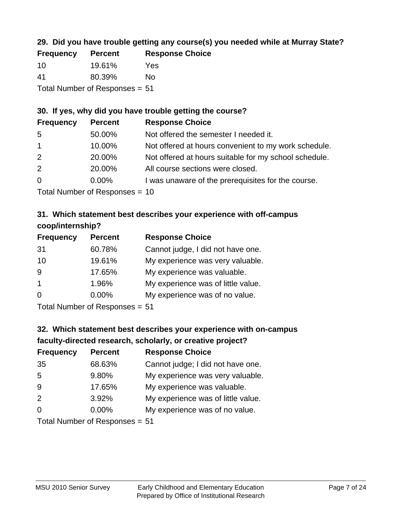# **29. Did you have trouble getting any course(s) you needed while at Murray State?**

| <b>Frequency</b>               | <b>Percent</b> | <b>Response Choice</b> |  |
|--------------------------------|----------------|------------------------|--|
| -10                            | 19.61%         | Yes                    |  |
| -41                            | 80.39%         | Nο                     |  |
| Total Number of Responses = 51 |                |                        |  |

# **30. If yes, why did you have trouble getting the course?**

| <b>Frequency</b> | <b>Percent</b> | <b>Response Choice</b>                                |
|------------------|----------------|-------------------------------------------------------|
| -5               | 50.00%         | Not offered the semester I needed it.                 |
| $\overline{1}$   | 10.00%         | Not offered at hours convenient to my work schedule.  |
| 2                | 20.00%         | Not offered at hours suitable for my school schedule. |
| 2                | 20.00%         | All course sections were closed.                      |
| $\overline{0}$   | $0.00\%$       | I was unaware of the prerequisites for the course.    |
|                  |                |                                                       |

Total Number of Responses = 10

### **31. Which statement best describes your experience with off-campus coop/internship?**

| <b>Frequency</b> | <b>Percent</b> | <b>Response Choice</b>             |
|------------------|----------------|------------------------------------|
| 31               | 60.78%         | Cannot judge, I did not have one.  |
| 10               | 19.61%         | My experience was very valuable.   |
| 9                | 17.65%         | My experience was valuable.        |
| $\overline{1}$   | 1.96%          | My experience was of little value. |
| $\Omega$         | 0.00%          | My experience was of no value.     |
|                  |                |                                    |

Total Number of Responses = 51

# **32. Which statement best describes your experience with on-campus faculty-directed research, scholarly, or creative project?**

| <b>Frequency</b> | <b>Percent</b>                  | <b>Response Choice</b>             |
|------------------|---------------------------------|------------------------------------|
| 35               | 68.63%                          | Cannot judge; I did not have one.  |
| 5                | 9.80%                           | My experience was very valuable.   |
| 9                | 17.65%                          | My experience was valuable.        |
| 2                | 3.92%                           | My experience was of little value. |
| $\Omega$         | $0.00\%$                        | My experience was of no value.     |
|                  | $Total Number of Doonono0 = 51$ |                                    |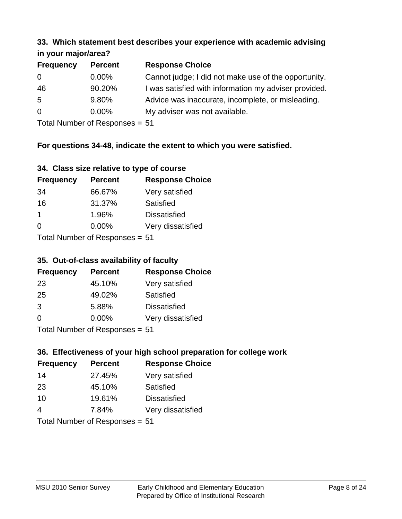#### **33. Which statement best describes your experience with academic advising in your major/area?**

| $\mathbf{u}$ yvu $\mathbf{u}$ yvu $\mathbf{v}$ |                |                                                       |
|------------------------------------------------|----------------|-------------------------------------------------------|
| <b>Frequency</b>                               | <b>Percent</b> | <b>Response Choice</b>                                |
| 0                                              | $0.00\%$       | Cannot judge; I did not make use of the opportunity.  |
| 46                                             | 90.20%         | I was satisfied with information my adviser provided. |
| 5                                              | 9.80%          | Advice was inaccurate, incomplete, or misleading.     |
| $\overline{0}$                                 | $0.00\%$       | My adviser was not available.                         |
|                                                |                |                                                       |

Total Number of Responses = 51

# **For questions 34-48, indicate the extent to which you were satisfied.**

| 34. Class size relative to type of course |  |  |  |  |  |  |  |  |
|-------------------------------------------|--|--|--|--|--|--|--|--|
|-------------------------------------------|--|--|--|--|--|--|--|--|

| <b>Frequency</b> | <b>Percent</b>                  | <b>Response Choice</b> |
|------------------|---------------------------------|------------------------|
| 34               | 66.67%                          | Very satisfied         |
| 16               | 31.37%                          | Satisfied              |
| -1               | 1.96%                           | <b>Dissatisfied</b>    |
| $\Omega$         | 0.00%                           | Very dissatisfied      |
|                  | Total Number of Responses $-51$ |                        |

Total Number of Responses = 51

# **35. Out-of-class availability of faculty**

| <b>Frequency</b> | <b>Percent</b>             | <b>Response Choice</b> |
|------------------|----------------------------|------------------------|
| 23               | 45.10%                     | Very satisfied         |
| 25               | 49.02%                     | Satisfied              |
| 3                | 5.88%                      | <b>Dissatisfied</b>    |
| $\Omega$         | $0.00\%$                   | Very dissatisfied      |
|                  | Tatal Number of Desperance |                        |

Total Number of Responses = 51

# **36. Effectiveness of your high school preparation for college work**

| <b>Frequency</b> | <b>Percent</b>                 | <b>Response Choice</b> |
|------------------|--------------------------------|------------------------|
| 14               | 27.45%                         | Very satisfied         |
| 23               | 45.10%                         | Satisfied              |
| 10               | 19.61%                         | <b>Dissatisfied</b>    |
| 4                | 7.84%                          | Very dissatisfied      |
|                  | $Total Number of Denonce - E1$ |                        |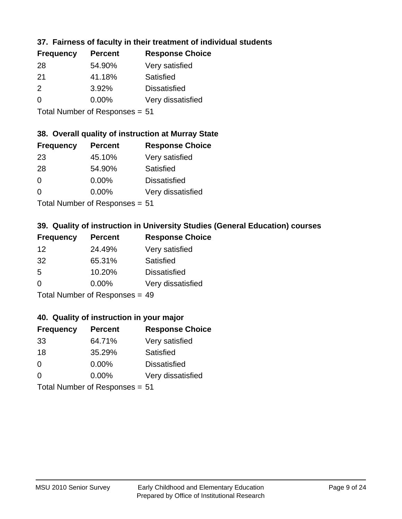# **37. Fairness of faculty in their treatment of individual students**

| <b>Frequency</b> | <b>Percent</b> | <b>Response Choice</b> |
|------------------|----------------|------------------------|
| 28               | 54.90%         | Very satisfied         |
| 21               | 41.18%         | Satisfied              |
| $\mathcal{P}$    | 3.92%          | <b>Dissatisfied</b>    |
| $\Omega$         | $0.00\%$       | Very dissatisfied      |
|                  |                |                        |

Total Number of Responses = 51

#### **38. Overall quality of instruction at Murray State**

| <b>Frequency</b> | <b>Percent</b>                | <b>Response Choice</b> |
|------------------|-------------------------------|------------------------|
| 23               | 45.10%                        | Very satisfied         |
| 28               | 54.90%                        | Satisfied              |
| $\Omega$         | 0.00%                         | <b>Dissatisfied</b>    |
| $\Omega$         | 0.00%                         | Very dissatisfied      |
|                  | $T$ and Number of Description |                        |

Total Number of Responses = 51

# **39. Quality of instruction in University Studies (General Education) courses**

| <b>Frequency</b> | <b>Percent</b>               | <b>Response Choice</b> |
|------------------|------------------------------|------------------------|
| 12               | 24.49%                       | Very satisfied         |
| 32               | 65.31%                       | Satisfied              |
| .5               | 10.20%                       | <b>Dissatisfied</b>    |
| $\Omega$         | 0.00%                        | Very dissatisfied      |
|                  | Total Number of Deepensee 40 |                        |

Total Number of Responses = 49

#### **40. Quality of instruction in your major**

| <b>Frequency</b>               | <b>Percent</b> | <b>Response Choice</b> |
|--------------------------------|----------------|------------------------|
| 33                             | 64.71%         | Very satisfied         |
| 18                             | 35.29%         | Satisfied              |
| $\Omega$                       | $0.00\%$       | <b>Dissatisfied</b>    |
| $\Omega$                       | $0.00\%$       | Very dissatisfied      |
| Total Number of Responses = 51 |                |                        |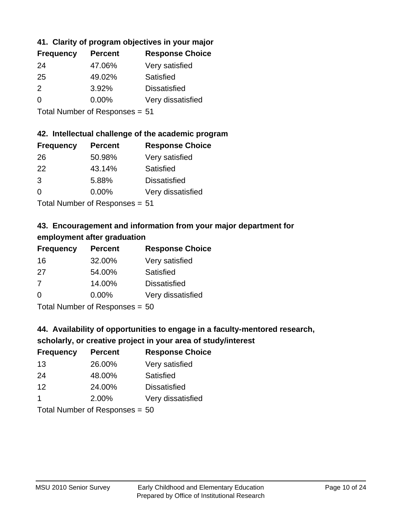# **41. Clarity of program objectives in your major**

| <b>Frequency</b> | <b>Percent</b> | <b>Response Choice</b> |
|------------------|----------------|------------------------|
| 24               | 47.06%         | Very satisfied         |
| 25               | 49.02%         | Satisfied              |
| $\mathcal{P}$    | 3.92%          | <b>Dissatisfied</b>    |
| ∩                | 0.00%          | Very dissatisfied      |
|                  |                |                        |

Total Number of Responses = 51

#### **42. Intellectual challenge of the academic program**

| <b>Frequency</b> | <b>Percent</b> | <b>Response Choice</b> |
|------------------|----------------|------------------------|
| 26               | 50.98%         | Very satisfied         |
| 22               | 43.14%         | Satisfied              |
| 3                | 5.88%          | <b>Dissatisfied</b>    |
| $\Omega$         | 0.00%          | Very dissatisfied      |
|                  |                |                        |

Total Number of Responses = 51

# **43. Encouragement and information from your major department for employment after graduation**

| <b>Frequency</b> | <b>Percent</b> | <b>Response Choice</b> |
|------------------|----------------|------------------------|
| 16               | 32.00%         | Very satisfied         |
| 27               | 54.00%         | Satisfied              |
| 7                | 14.00%         | <b>Dissatisfied</b>    |
| $\Omega$         | $0.00\%$       | Very dissatisfied      |
|                  |                |                        |

Total Number of Responses = 50

# **44. Availability of opportunities to engage in a faculty-mentored research,**

# **scholarly, or creative project in your area of study/interest**

| <b>Frequency</b> | <b>Percent</b> | <b>Response Choice</b> |
|------------------|----------------|------------------------|
| 13               | 26.00%         | Very satisfied         |
| 24               | 48.00%         | Satisfied              |
| 12               | 24.00%         | <b>Dissatisfied</b>    |
|                  | 2.00%          | Very dissatisfied      |
|                  |                |                        |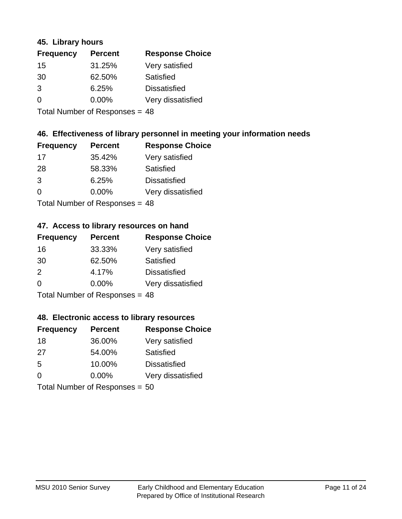#### **45. Library hours**

| <b>Frequency</b> | <b>Percent</b> | <b>Response Choice</b> |
|------------------|----------------|------------------------|
| 15               | 31.25%         | Very satisfied         |
| 30               | 62.50%         | Satisfied              |
| 3                | 6.25%          | <b>Dissatisfied</b>    |
| 0                | 0.00%          | Very dissatisfied      |
|                  |                |                        |

Total Number of Responses = 48

#### **46. Effectiveness of library personnel in meeting your information needs**

| <b>Frequency</b> | <b>Percent</b> | <b>Response Choice</b> |
|------------------|----------------|------------------------|
| 17               | 35.42%         | Very satisfied         |
| 28               | 58.33%         | Satisfied              |
| 3                | 6.25%          | <b>Dissatisfied</b>    |
| $\Omega$         | 0.00%          | Very dissatisfied      |
|                  |                |                        |

Total Number of Responses = 48

#### **47. Access to library resources on hand**

| <b>Frequency</b> | <b>Percent</b>                   | <b>Response Choice</b> |
|------------------|----------------------------------|------------------------|
| 16               | 33.33%                           | Very satisfied         |
| 30               | 62.50%                           | Satisfied              |
| $\mathcal{P}$    | 4.17%                            | <b>Dissatisfied</b>    |
| $\Omega$         | $0.00\%$                         | Very dissatisfied      |
|                  | $Total Number of Doepopoog = 10$ |                        |

Total Number of Responses = 48

#### **48. Electronic access to library resources**

| <b>Frequency</b>               | <b>Percent</b> | <b>Response Choice</b> |
|--------------------------------|----------------|------------------------|
| 18                             | 36.00%         | Very satisfied         |
| 27                             | 54.00%         | Satisfied              |
| 5                              | 10.00%         | <b>Dissatisfied</b>    |
| $\Omega$                       | $0.00\%$       | Very dissatisfied      |
| Total Number of Responses = 50 |                |                        |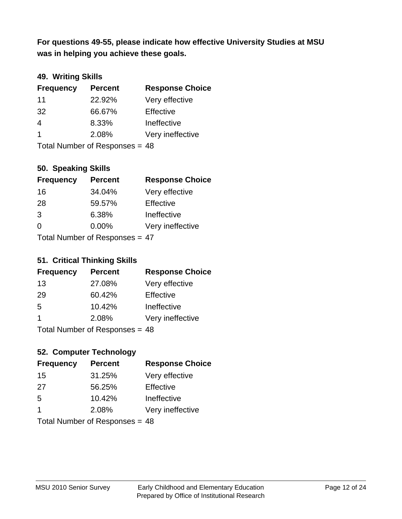**was in helping you achieve these goals. For questions 49-55, please indicate how effective University Studies at MSU** 

## **49. Writing Skills**

| <b>Frequency</b>               | <b>Percent</b> | <b>Response Choice</b> |
|--------------------------------|----------------|------------------------|
| 11                             | 22.92%         | Very effective         |
| 32                             | 66.67%         | Effective              |
| 4                              | 8.33%          | Ineffective            |
| $\overline{1}$                 | 2.08%          | Very ineffective       |
| Total Number of Responses = 48 |                |                        |

#### **50. Speaking Skills**

| <b>Frequency</b>                | <b>Percent</b> | <b>Response Choice</b> |
|---------------------------------|----------------|------------------------|
| 16                              | 34.04%         | Very effective         |
| 28                              | 59.57%         | Effective              |
| 3                               | 6.38%          | Ineffective            |
| $\Omega$                        | 0.00%          | Very ineffective       |
| Total Number of Poenances $-17$ |                |                        |

Total Number of Responses  $=$  47

#### **51. Critical Thinking Skills**

| <b>Frequency</b>          | <b>Percent</b> | <b>Response Choice</b> |
|---------------------------|----------------|------------------------|
| 13                        | 27.08%         | Very effective         |
| 29                        | 60.42%         | Effective              |
| 5                         | 10.42%         | Ineffective            |
| 1                         | 2.08%          | Very ineffective       |
| Total Number of Deepensee |                |                        |

Total Number of Responses = 48

# **52. Computer Technology**

| <b>Frequency</b>               | <b>Percent</b> | <b>Response Choice</b> |
|--------------------------------|----------------|------------------------|
| 15                             | 31.25%         | Very effective         |
| 27                             | 56.25%         | Effective              |
| 5                              | 10.42%         | Ineffective            |
| -1                             | 2.08%          | Very ineffective       |
| Total Number of Responses = 48 |                |                        |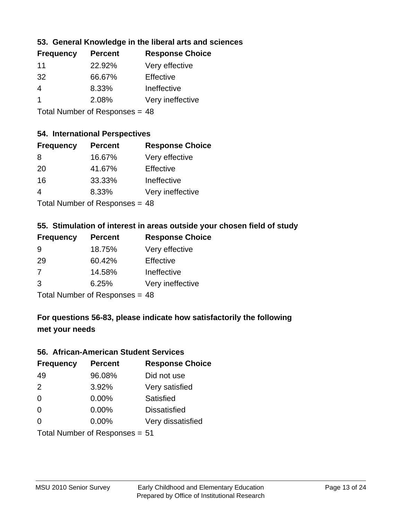#### **53. General Knowledge in the liberal arts and sciences**

| <b>Frequency</b> | <b>Percent</b> | <b>Response Choice</b> |
|------------------|----------------|------------------------|
| 11               | 22.92%         | Very effective         |
| 32               | 66.67%         | Effective              |
| 4                | 8.33%          | Ineffective            |
|                  | 2.08%          | Very ineffective       |
|                  |                |                        |

Total Number of Responses = 48

# **54. International Perspectives**

| <b>Frequency</b> | <b>Percent</b>             | <b>Response Choice</b> |
|------------------|----------------------------|------------------------|
| 8                | 16.67%                     | Very effective         |
| 20               | 41.67%                     | Effective              |
| 16               | 33.33%                     | Ineffective            |
| 4                | 8.33%                      | Very ineffective       |
|                  | Total Number of Desperance |                        |

Total Number of Responses = 48

#### **55. Stimulation of interest in areas outside your chosen field of study**

| <b>Frequency</b>               | <b>Percent</b> | <b>Response Choice</b> |
|--------------------------------|----------------|------------------------|
| 9                              | 18.75%         | Very effective         |
| 29                             | 60.42%         | Effective              |
| 7                              | 14.58%         | Ineffective            |
| 3                              | 6.25%          | Very ineffective       |
| Total Number of Responses = 48 |                |                        |

**For questions 56-83, please indicate how satisfactorily the following met your needs**

#### **56. African-American Student Services**

| <b>Frequency</b> | <b>Percent</b>                 | <b>Response Choice</b> |
|------------------|--------------------------------|------------------------|
| 49               | 96.08%                         | Did not use            |
| 2                | 3.92%                          | Very satisfied         |
| 0                | 0.00%                          | Satisfied              |
| 0                | $0.00\%$                       | <b>Dissatisfied</b>    |
| $\Omega$         | 0.00%                          | Very dissatisfied      |
|                  | Total Number of Responses = 51 |                        |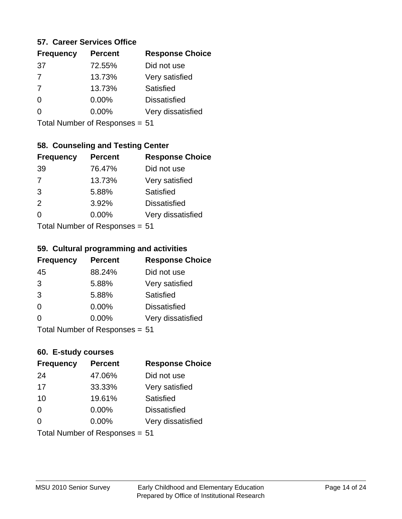#### **57. Career Services Office**

| <b>Frequency</b> | <b>Percent</b> | <b>Response Choice</b> |
|------------------|----------------|------------------------|
| 37               | 72.55%         | Did not use            |
| $\overline{7}$   | 13.73%         | Very satisfied         |
| -7               | 13.73%         | Satisfied              |
| 0                | $0.00\%$       | <b>Dissatisfied</b>    |
|                  | $0.00\%$       | Very dissatisfied      |
|                  |                |                        |

Total Number of Responses = 51

# **58. Counseling and Testing Center**

| <b>Frequency</b> | <b>Percent</b>            | <b>Response Choice</b> |
|------------------|---------------------------|------------------------|
| 39               | 76.47%                    | Did not use            |
| 7                | 13.73%                    | Very satisfied         |
| 3                | 5.88%                     | Satisfied              |
| 2                | 3.92%                     | <b>Dissatisfied</b>    |
| 0                | 0.00%                     | Very dissatisfied      |
|                  | Total Number of Desponses |                        |

Total Number of Responses = 51

#### **59. Cultural programming and activities**

| <b>Frequency</b> | <b>Percent</b>                  | <b>Response Choice</b> |
|------------------|---------------------------------|------------------------|
| 45               | 88.24%                          | Did not use            |
| 3                | 5.88%                           | Very satisfied         |
| 3                | 5.88%                           | Satisfied              |
| $\Omega$         | 0.00%                           | <b>Dissatisfied</b>    |
| $\Omega$         | 0.00%                           | Very dissatisfied      |
|                  | $Total$ Number of Despasses $-$ |                        |

Total Number of Responses = 51

#### **60. E-study courses**

| <b>Frequency</b> | <b>Percent</b>                 | <b>Response Choice</b> |
|------------------|--------------------------------|------------------------|
| 24               | 47.06%                         | Did not use            |
| 17               | 33.33%                         | Very satisfied         |
| 10               | 19.61%                         | Satisfied              |
| $\Omega$         | $0.00\%$                       | <b>Dissatisfied</b>    |
| $\Omega$         | 0.00%                          | Very dissatisfied      |
|                  | Total Number of Responses = 51 |                        |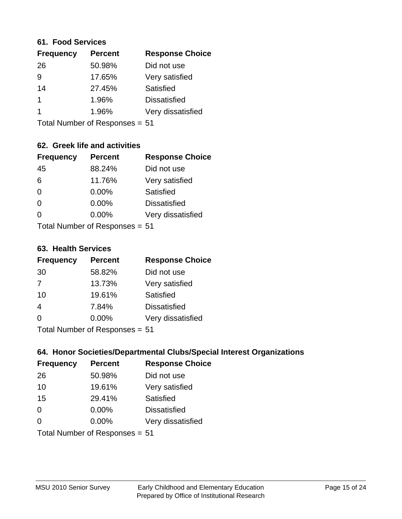#### **61. Food Services**

| <b>Percent</b> | <b>Response Choice</b> |
|----------------|------------------------|
| 50.98%         | Did not use            |
| 17.65%         | Very satisfied         |
| 27.45%         | Satisfied              |
| 1.96%          | <b>Dissatisfied</b>    |
| 1.96%          | Very dissatisfied      |
|                |                        |

Total Number of Responses = 51

# **62. Greek life and activities**

| <b>Frequency</b> | <b>Percent</b>                 | <b>Response Choice</b> |
|------------------|--------------------------------|------------------------|
| 45               | 88.24%                         | Did not use            |
| 6                | 11.76%                         | Very satisfied         |
| $\Omega$         | 0.00%                          | Satisfied              |
| $\Omega$         | 0.00%                          | <b>Dissatisfied</b>    |
| 0                | $0.00\%$                       | Very dissatisfied      |
|                  | Total Number of Responses = 51 |                        |

#### **63. Health Services**

| <b>Frequency</b> | <b>Percent</b>             | <b>Response Choice</b> |
|------------------|----------------------------|------------------------|
| 30               | 58.82%                     | Did not use            |
| 7                | 13.73%                     | Very satisfied         |
| 10               | 19.61%                     | Satisfied              |
| $\overline{4}$   | 7.84%                      | <b>Dissatisfied</b>    |
| $\Omega$         | $0.00\%$                   | Very dissatisfied      |
|                  | Total Number of Desperance |                        |

Total Number of Responses = 51

#### **64. Honor Societies/Departmental Clubs/Special Interest Organizations**

| <b>Frequency</b> | <b>Percent</b>                 | <b>Response Choice</b> |
|------------------|--------------------------------|------------------------|
| 26               | 50.98%                         | Did not use            |
| 10               | 19.61%                         | Very satisfied         |
| 15               | 29.41%                         | <b>Satisfied</b>       |
| $\Omega$         | $0.00\%$                       | <b>Dissatisfied</b>    |
| $\Omega$         | 0.00%                          | Very dissatisfied      |
|                  | Total Number of Responses = 51 |                        |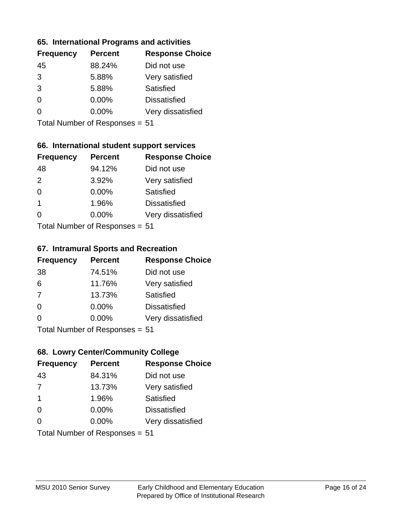#### **65. International Programs and activities**

| <b>Frequency</b> | <b>Percent</b> | <b>Response Choice</b> |
|------------------|----------------|------------------------|
| 45               | 88.24%         | Did not use            |
| 3                | 5.88%          | Very satisfied         |
| 3                | 5.88%          | Satisfied              |
| $\Omega$         | $0.00\%$       | <b>Dissatisfied</b>    |
|                  | $0.00\%$       | Very dissatisfied      |
|                  |                |                        |

Total Number of Responses = 51

# **66. International student support services**

| <b>Frequency</b> | <b>Percent</b>             | <b>Response Choice</b> |
|------------------|----------------------------|------------------------|
| 48               | 94.12%                     | Did not use            |
| 2                | 3.92%                      | Very satisfied         |
| $\Omega$         | 0.00%                      | <b>Satisfied</b>       |
| $\overline{1}$   | 1.96%                      | <b>Dissatisfied</b>    |
| ∩                | 0.00%                      | Very dissatisfied      |
|                  | Total Number of Deepersoon |                        |

Total Number of Responses = 51

#### **67. Intramural Sports and Recreation**

| <b>Frequency</b> | <b>Percent</b>            | <b>Response Choice</b> |
|------------------|---------------------------|------------------------|
| 38               | 74.51%                    | Did not use            |
| 6                | 11.76%                    | Very satisfied         |
| 7                | 13.73%                    | Satisfied              |
| $\Omega$         | $0.00\%$                  | <b>Dissatisfied</b>    |
| ∩                | 0.00%                     | Very dissatisfied      |
|                  | Total Number of Desponses |                        |

Total Number of Responses = 51

# **68. Lowry Center/Community College**

| <b>Frequency</b>        | <b>Percent</b>                 | <b>Response Choice</b> |
|-------------------------|--------------------------------|------------------------|
| 43                      | 84.31%                         | Did not use            |
| 7                       | 13.73%                         | Very satisfied         |
| $\overline{\mathbf{1}}$ | 1.96%                          | Satisfied              |
| $\Omega$                | $0.00\%$                       | <b>Dissatisfied</b>    |
| $\Omega$                | $0.00\%$                       | Very dissatisfied      |
|                         | Total Number of Responses = 51 |                        |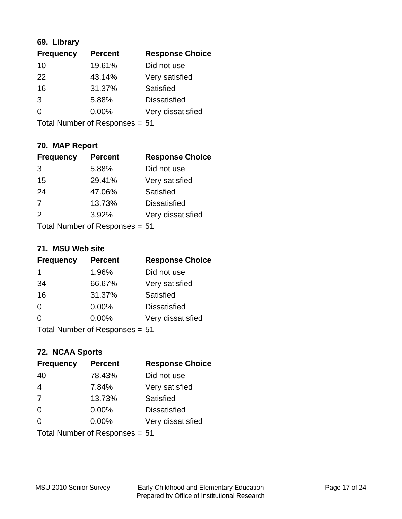## **69. Library**

| <b>Frequency</b> | <b>Percent</b> | <b>Response Choice</b> |
|------------------|----------------|------------------------|
| 10               | 19.61%         | Did not use            |
| 22               | 43.14%         | Very satisfied         |
| 16               | 31.37%         | Satisfied              |
| 3                | 5.88%          | <b>Dissatisfied</b>    |
| 0                | $0.00\%$       | Very dissatisfied      |
|                  |                |                        |

Total Number of Responses = 51

# **70. MAP Report**

| <b>Frequency</b> | <b>Percent</b>                 | <b>Response Choice</b> |
|------------------|--------------------------------|------------------------|
| 3                | 5.88%                          | Did not use            |
| 15               | 29.41%                         | Very satisfied         |
| 24               | 47.06%                         | Satisfied              |
| $\overline{7}$   | 13.73%                         | <b>Dissatisfied</b>    |
| 2                | 3.92%                          | Very dissatisfied      |
|                  | Total Number of Responses = 51 |                        |

#### **71. MSU Web site**

| <b>Frequency</b> | <b>Percent</b>                 | <b>Response Choice</b> |
|------------------|--------------------------------|------------------------|
| 1                | 1.96%                          | Did not use            |
| 34               | 66.67%                         | Very satisfied         |
| 16               | 31.37%                         | Satisfied              |
| $\Omega$         | 0.00%                          | <b>Dissatisfied</b>    |
| $\Omega$         | 0.00%                          | Very dissatisfied      |
|                  | Total Number of Responses = 51 |                        |

# **72. NCAA Sports**

| <b>Frequency</b> | <b>Percent</b>                 | <b>Response Choice</b> |
|------------------|--------------------------------|------------------------|
| 40               | 78.43%                         | Did not use            |
| $\overline{4}$   | 7.84%                          | Very satisfied         |
| 7                | 13.73%                         | Satisfied              |
| 0                | 0.00%                          | <b>Dissatisfied</b>    |
| $\Omega$         | 0.00%                          | Very dissatisfied      |
|                  | Total Number of Responses = 51 |                        |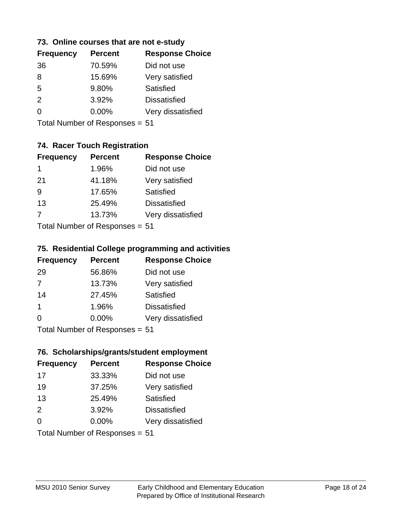#### **73. Online courses that are not e-study**

| <b>Frequency</b> | <b>Percent</b> | <b>Response Choice</b> |
|------------------|----------------|------------------------|
| 36               | 70.59%         | Did not use            |
| 8                | 15.69%         | Very satisfied         |
| 5                | 9.80%          | Satisfied              |
| $\mathcal{P}$    | 3.92%          | <b>Dissatisfied</b>    |
|                  | $0.00\%$       | Very dissatisfied      |
|                  |                |                        |

Total Number of Responses = 51

# **74. Racer Touch Registration**

| <b>Frequency</b> | <b>Percent</b>            | <b>Response Choice</b> |
|------------------|---------------------------|------------------------|
| 1                | 1.96%                     | Did not use            |
| 21               | 41.18%                    | Very satisfied         |
| 9                | 17.65%                    | <b>Satisfied</b>       |
| 13               | 25.49%                    | <b>Dissatisfied</b>    |
| -7               | 13.73%                    | Very dissatisfied      |
|                  | Total Number of Desponses |                        |

Total Number of Responses = 51

#### **75. Residential College programming and activities**

| <b>Frequency</b> | <b>Percent</b>               | <b>Response Choice</b> |
|------------------|------------------------------|------------------------|
| 29               | 56.86%                       | Did not use            |
| 7                | 13.73%                       | Very satisfied         |
| 14               | 27.45%                       | Satisfied              |
| -1               | 1.96%                        | <b>Dissatisfied</b>    |
| $\Omega$         | 0.00%                        | Very dissatisfied      |
|                  | Total Number of Deepensee E1 |                        |

Total Number of Responses = 51

#### **76. Scholarships/grants/student employment**

| <b>Frequency</b> | <b>Percent</b>                 | <b>Response Choice</b> |
|------------------|--------------------------------|------------------------|
| 17               | 33.33%                         | Did not use            |
| 19               | 37.25%                         | Very satisfied         |
| 13               | 25.49%                         | Satisfied              |
| 2                | 3.92%                          | <b>Dissatisfied</b>    |
| $\Omega$         | $0.00\%$                       | Very dissatisfied      |
|                  | Total Number of Responses = 51 |                        |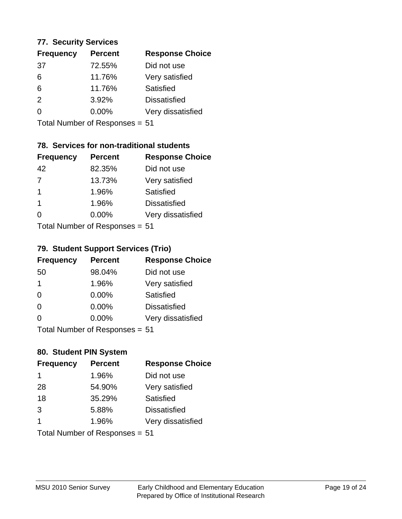#### **77. Security Services**

| <b>Frequency</b> | <b>Percent</b> | <b>Response Choice</b> |
|------------------|----------------|------------------------|
| 37               | 72.55%         | Did not use            |
| 6                | 11.76%         | Very satisfied         |
| 6                | 11.76%         | Satisfied              |
| $\mathcal{P}$    | 3.92%          | <b>Dissatisfied</b>    |
| $\Omega$         | $0.00\%$       | Very dissatisfied      |
|                  |                |                        |

Total Number of Responses = 51

# **78. Services for non-traditional students**

| <b>Frequency</b> | <b>Percent</b>             | <b>Response Choice</b> |
|------------------|----------------------------|------------------------|
| 42               | 82.35%                     | Did not use            |
| $\overline{7}$   | 13.73%                     | Very satisfied         |
| 1                | 1.96%                      | <b>Satisfied</b>       |
| 1                | 1.96%                      | <b>Dissatisfied</b>    |
| 0                | 0.00%                      | Very dissatisfied      |
|                  | Total Number of Deepersoon |                        |

Total Number of Responses = 51

## **79. Student Support Services (Trio)**

| <b>Frequency</b> | <b>Percent</b>            | <b>Response Choice</b> |
|------------------|---------------------------|------------------------|
| 50               | 98.04%                    | Did not use            |
| 1                | 1.96%                     | Very satisfied         |
| $\Omega$         | $0.00\%$                  | <b>Satisfied</b>       |
| $\Omega$         | $0.00\%$                  | <b>Dissatisfied</b>    |
| $\Omega$         | 0.00%                     | Very dissatisfied      |
|                  | Total Number of Desponses |                        |

Total Number of Responses = 51

# **80. Student PIN System**

| <b>Frequency</b> | <b>Percent</b>                 | <b>Response Choice</b> |
|------------------|--------------------------------|------------------------|
| 1                | 1.96%                          | Did not use            |
| 28               | 54.90%                         | Very satisfied         |
| 18               | 35.29%                         | <b>Satisfied</b>       |
| 3                | 5.88%                          | <b>Dissatisfied</b>    |
| 1                | 1.96%                          | Very dissatisfied      |
|                  | Total Number of Responses = 51 |                        |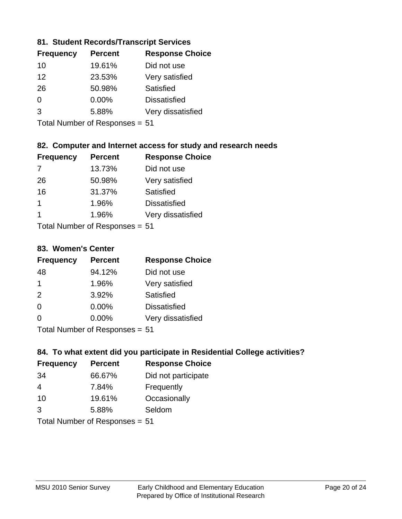#### **81. Student Records/Transcript Services**

| <b>Frequency</b> | <b>Percent</b> | <b>Response Choice</b> |
|------------------|----------------|------------------------|
| 10               | 19.61%         | Did not use            |
| 12               | 23.53%         | Very satisfied         |
| 26               | 50.98%         | Satisfied              |
| 0                | 0.00%          | <b>Dissatisfied</b>    |
| 3                | 5.88%          | Very dissatisfied      |
|                  |                |                        |

Total Number of Responses = 51

# **82. Computer and Internet access for study and research needs**

| <b>Frequency</b> | <b>Percent</b>              | <b>Response Choice</b> |
|------------------|-----------------------------|------------------------|
| 7                | 13.73%                      | Did not use            |
| 26               | 50.98%                      | Very satisfied         |
| 16               | 31.37%                      | Satisfied              |
| 1                | 1.96%                       | <b>Dissatisfied</b>    |
| 1                | 1.96%                       | Very dissatisfied      |
|                  | Tatal Massakan af Dagmannar |                        |

Total Number of Responses = 51

#### **83. Women's Center**

| <b>Frequency</b> | <b>Percent</b>             | <b>Response Choice</b> |
|------------------|----------------------------|------------------------|
| 48               | 94.12%                     | Did not use            |
| $\mathbf 1$      | 1.96%                      | Very satisfied         |
| 2                | 3.92%                      | Satisfied              |
| $\Omega$         | 0.00%                      | <b>Dissatisfied</b>    |
| $\Omega$         | 0.00%                      | Very dissatisfied      |
|                  | Total Number of Desperance |                        |

Total Number of Responses = 51

#### **84. To what extent did you participate in Residential College activities?**

| <b>Frequency</b> | <b>Percent</b>              | <b>Response Choice</b> |
|------------------|-----------------------------|------------------------|
| -34              | 66.67%                      | Did not participate    |
| 4                | 7.84%                       | Frequently             |
| 10               | 19.61%                      | Occasionally           |
| 3                | 5.88%                       | Seldom                 |
|                  | $Total Number of Denonce -$ |                        |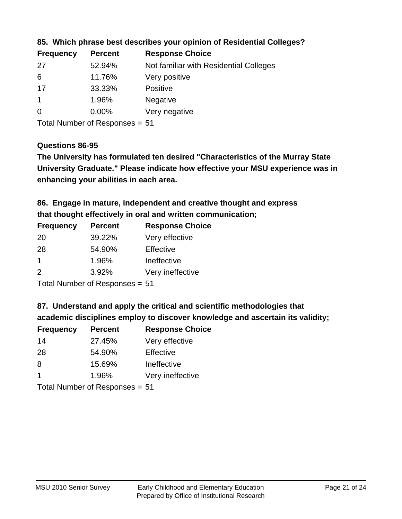| <b>Frequency</b> | <b>Percent</b> | <b>Response Choice</b>                 |
|------------------|----------------|----------------------------------------|
| 27               | 52.94%         | Not familiar with Residential Colleges |
| 6                | 11.76%         | Very positive                          |
| 17               | 33.33%         | <b>Positive</b>                        |
|                  | 1.96%          | <b>Negative</b>                        |
| $\overline{0}$   | $0.00\%$       | Very negative                          |

**85. Which phrase best describes your opinion of Residential Colleges?**

Total Number of Responses = 51

#### **Questions 86-95**

**University Graduate." Please indicate how effective your MSU experience was in The University has formulated ten desired "Characteristics of the Murray State enhancing your abilities in each area.**

**86. Engage in mature, independent and creative thought and express that thought effectively in oral and written communication;**

| <b>Percent</b> | <b>Response Choice</b> |
|----------------|------------------------|
| 39.22%         | Very effective         |
| 54.90%         | Effective              |
| 1.96%          | Ineffective            |
| 3.92%          | Very ineffective       |
|                |                        |

Total Number of Responses = 51

**87. Understand and apply the critical and scientific methodologies that** 

**academic disciplines employ to discover knowledge and ascertain its validity;**

| <b>Frequency</b> | <b>Percent</b> | <b>Response Choice</b> |
|------------------|----------------|------------------------|
| 14               | 27.45%         | Very effective         |
| 28               | 54.90%         | Effective              |
| 8                | 15.69%         | Ineffective            |
| $\mathbf 1$      | 1.96%          | Very ineffective       |
|                  |                |                        |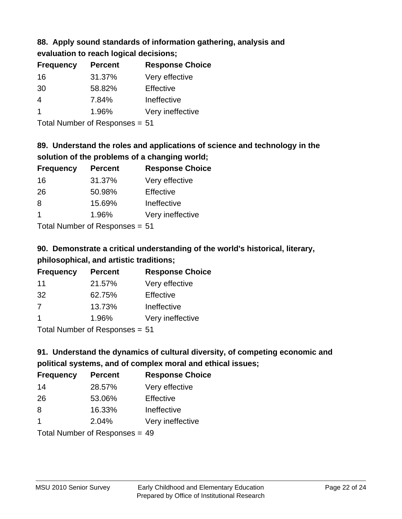# **88. Apply sound standards of information gathering, analysis and**

| evaluation to reach logical decisions; |  |
|----------------------------------------|--|
|----------------------------------------|--|

| <b>Frequency</b> | <b>Percent</b> | <b>Response Choice</b> |
|------------------|----------------|------------------------|
| 16               | 31.37%         | Very effective         |
| 30               | 58.82%         | Effective              |
| 4                | 7.84%          | Ineffective            |
|                  | 1.96%          | Very ineffective       |

Total Number of Responses = 51

# **89. Understand the roles and applications of science and technology in the solution of the problems of a changing world;**

| <b>Frequency</b> | <b>Percent</b> | <b>Response Choice</b> |
|------------------|----------------|------------------------|
| 16               | 31.37%         | Very effective         |
| 26               | 50.98%         | Effective              |
| 8                | 15.69%         | Ineffective            |
| $\overline{1}$   | 1.96%          | Very ineffective       |
|                  |                |                        |

Total Number of Responses = 51

# **90. Demonstrate a critical understanding of the world's historical, literary, philosophical, and artistic traditions;**

| <b>Frequency</b> | <b>Percent</b> | <b>Response Choice</b> |
|------------------|----------------|------------------------|
| 11               | 21.57%         | Very effective         |
| 32               | 62.75%         | Effective              |
| 7                | 13.73%         | Ineffective            |
|                  | 1.96%          | Very ineffective       |
|                  |                |                        |

Total Number of Responses = 51

# **91. Understand the dynamics of cultural diversity, of competing economic and political systems, and of complex moral and ethical issues;**

| <b>Frequency</b>     | <b>Percent</b>                   | <b>Response Choice</b> |
|----------------------|----------------------------------|------------------------|
| 14                   | 28.57%                           | Very effective         |
| 26                   | 53.06%                           | Effective              |
| 8                    | 16.33%                           | Ineffective            |
| $\blacktriangleleft$ | 2.04%                            | Very ineffective       |
|                      | Total Number of Responses $= 49$ |                        |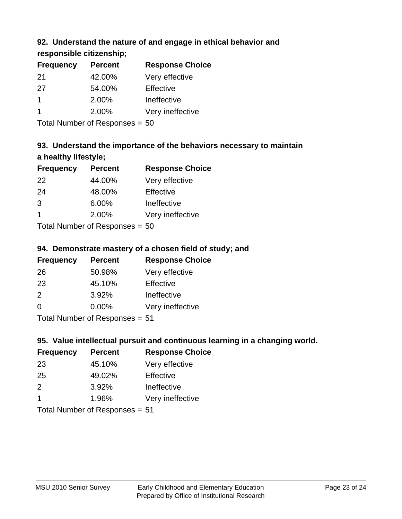# **92. Understand the nature of and engage in ethical behavior and**

**responsible citizenship;**

| <b>Frequency</b> | <b>Percent</b> | <b>Response Choice</b> |
|------------------|----------------|------------------------|
| -21              | 42.00%         | Very effective         |
| 27               | 54.00%         | Effective              |
|                  | 2.00%          | Ineffective            |
|                  | 2.00%          | Very ineffective       |
|                  |                |                        |

Total Number of Responses = 50

# **93. Understand the importance of the behaviors necessary to maintain a healthy lifestyle;**

| <b>Frequency</b> | <b>Percent</b>               | <b>Response Choice</b> |
|------------------|------------------------------|------------------------|
| 22               | 44.00%                       | Very effective         |
| 24               | 48.00%                       | Effective              |
| 3                | 6.00%                        | Ineffective            |
| -1               | 2.00%                        | Very ineffective       |
|                  | $\tau$ . The state of $\sim$ |                        |

Total Number of Responses = 50

## **94. Demonstrate mastery of a chosen field of study; and**

| <b>Frequency</b> | <b>Percent</b> | <b>Response Choice</b> |
|------------------|----------------|------------------------|
| 26               | 50.98%         | Very effective         |
| 23               | 45.10%         | Effective              |
| $\mathcal{P}$    | 3.92%          | Ineffective            |
| $\Omega$         | $0.00\%$       | Very ineffective       |
|                  |                |                        |

Total Number of Responses = 51

# **95. Value intellectual pursuit and continuous learning in a changing world.**

| <b>Frequency</b> | <b>Percent</b> | <b>Response Choice</b> |
|------------------|----------------|------------------------|
| 23               | 45.10%         | Very effective         |
| 25               | 49.02%         | Effective              |
| $\mathcal{P}$    | 3.92%          | Ineffective            |
| -1               | 1.96%          | Very ineffective       |
|                  |                |                        |